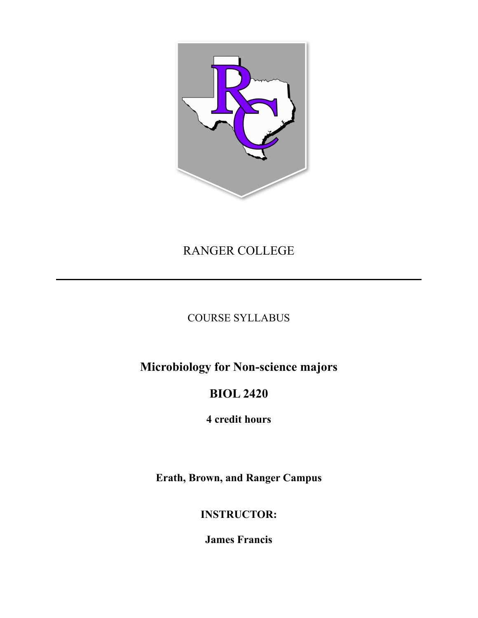

# RANGER COLLEGE

## COURSE SYLLABUS

**Microbiology for Non-science majors**

# **BIOL 2420**

**4 credit hours**

**Erath, Brown, and Ranger Campus**

## **INSTRUCTOR:**

**James Francis**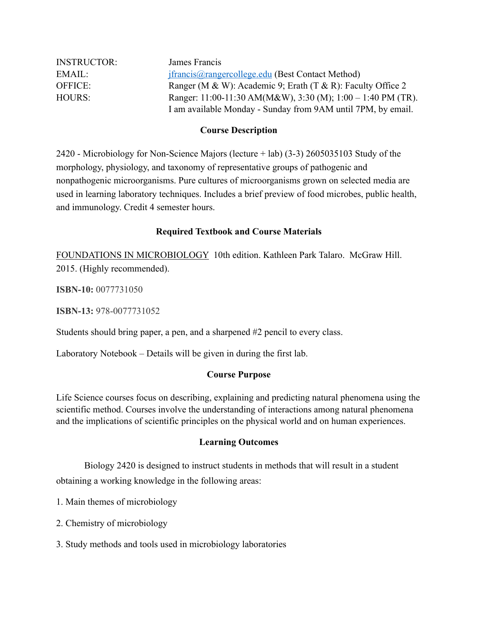| <b>INSTRUCTOR:</b> | James Francis                                                |
|--------------------|--------------------------------------------------------------|
| EMAIL:             | <i>jfrancis@rangercollege.edu (Best Contact Method)</i>      |
| OFFICE:            | Ranger (M & W): Academic 9; Erath (T & R): Faculty Office 2  |
| <b>HOURS:</b>      | Ranger: 11:00-11:30 AM(M&W), 3:30 (M); 1:00 - 1:40 PM (TR).  |
|                    | I am available Monday - Sunday from 9AM until 7PM, by email. |

#### **Course Description**

2420 - Microbiology for Non-Science Majors (lecture + lab) (3-3) 2605035103 Study of the morphology, physiology, and taxonomy of representative groups of pathogenic and nonpathogenic microorganisms. Pure cultures of microorganisms grown on selected media are used in learning laboratory techniques. Includes a brief preview of food microbes, public health, and immunology. Credit 4 semester hours.

### **Required Textbook and Course Materials**

FOUNDATIONS IN MICROBIOLOGY 10th edition. Kathleen Park Talaro. McGraw Hill. 2015. (Highly recommended).

**ISBN-10:** 0077731050

**ISBN-13:** 978-0077731052

Students should bring paper, a pen, and a sharpened #2 pencil to every class.

Laboratory Notebook – Details will be given in during the first lab.

### **Course Purpose**

Life Science courses focus on describing, explaining and predicting natural phenomena using the scientific method. Courses involve the understanding of interactions among natural phenomena and the implications of scientific principles on the physical world and on human experiences.

### **Learning Outcomes**

Biology 2420 is designed to instruct students in methods that will result in a student obtaining a working knowledge in the following areas:

1. Main themes of microbiology

- 2. Chemistry of microbiology
- 3. Study methods and tools used in microbiology laboratories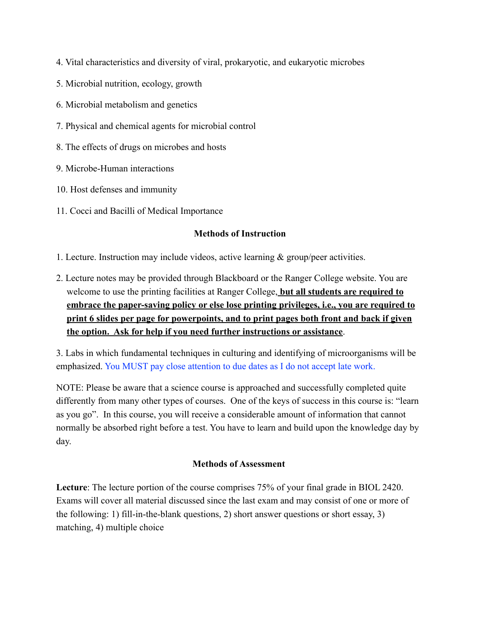- 4. Vital characteristics and diversity of viral, prokaryotic, and eukaryotic microbes
- 5. Microbial nutrition, ecology, growth
- 6. Microbial metabolism and genetics
- 7. Physical and chemical agents for microbial control
- 8. The effects of drugs on microbes and hosts
- 9. Microbe-Human interactions
- 10. Host defenses and immunity
- 11. Cocci and Bacilli of Medical Importance

### **Methods of Instruction**

1. Lecture. Instruction may include videos, active learning & group/peer activities.

2. Lecture notes may be provided through Blackboard or the Ranger College website. You are welcome to use the printing facilities at Ranger College, **but all students are required to embrace the paper-saving policy or else lose printing privileges, i.e., you are required to print 6 slides per page for powerpoints, and to print pages both front and back if given the option. Ask for help if you need further instructions or assistance**.

3. Labs in which fundamental techniques in culturing and identifying of microorganisms will be emphasized. You MUST pay close attention to due dates as I do not accept late work.

NOTE: Please be aware that a science course is approached and successfully completed quite differently from many other types of courses. One of the keys of success in this course is: "learn as you go". In this course, you will receive a considerable amount of information that cannot normally be absorbed right before a test. You have to learn and build upon the knowledge day by day.

### **Methods of Assessment**

**Lecture**: The lecture portion of the course comprises 75% of your final grade in BIOL 2420. Exams will cover all material discussed since the last exam and may consist of one or more of the following: 1) fill-in-the-blank questions, 2) short answer questions or short essay, 3) matching, 4) multiple choice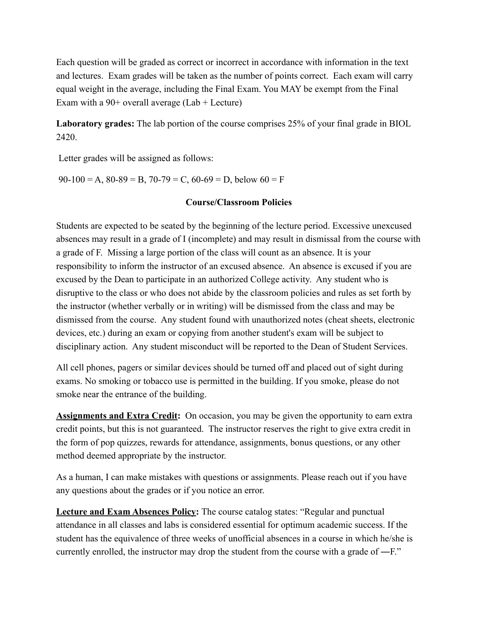Each question will be graded as correct or incorrect in accordance with information in the text and lectures. Exam grades will be taken as the number of points correct. Each exam will carry equal weight in the average, including the Final Exam. You MAY be exempt from the Final Exam with a  $90+$  overall average (Lab + Lecture)

**Laboratory grades:** The lab portion of the course comprises 25% of your final grade in BIOL 2420.

Letter grades will be assigned as follows:

 $90-100 = A$ ,  $80-89 = B$ ,  $70-79 = C$ ,  $60-69 = D$ , below  $60 = F$ 

#### **Course/Classroom Policies**

Students are expected to be seated by the beginning of the lecture period. Excessive unexcused absences may result in a grade of I (incomplete) and may result in dismissal from the course with a grade of F. Missing a large portion of the class will count as an absence. It is your responsibility to inform the instructor of an excused absence. An absence is excused if you are excused by the Dean to participate in an authorized College activity. Any student who is disruptive to the class or who does not abide by the classroom policies and rules as set forth by the instructor (whether verbally or in writing) will be dismissed from the class and may be dismissed from the course. Any student found with unauthorized notes (cheat sheets, electronic devices, etc.) during an exam or copying from another student's exam will be subject to disciplinary action. Any student misconduct will be reported to the Dean of Student Services.

All cell phones, pagers or similar devices should be turned off and placed out of sight during exams. No smoking or tobacco use is permitted in the building. If you smoke, please do not smoke near the entrance of the building.

**Assignments and Extra Credit:** On occasion, you may be given the opportunity to earn extra credit points, but this is not guaranteed. The instructor reserves the right to give extra credit in the form of pop quizzes, rewards for attendance, assignments, bonus questions, or any other method deemed appropriate by the instructor.

As a human, I can make mistakes with questions or assignments. Please reach out if you have any questions about the grades or if you notice an error.

**Lecture and Exam Absences Policy:** The course catalog states: "Regular and punctual attendance in all classes and labs is considered essential for optimum academic success. If the student has the equivalence of three weeks of unofficial absences in a course in which he/she is currently enrolled, the instructor may drop the student from the course with a grade of ―F."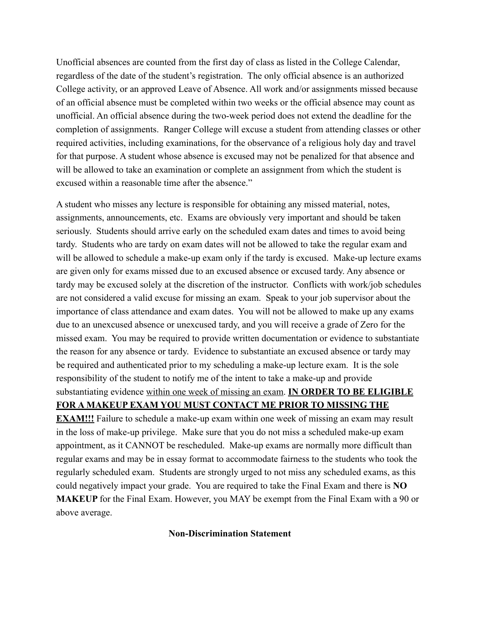Unofficial absences are counted from the first day of class as listed in the College Calendar, regardless of the date of the student's registration. The only official absence is an authorized College activity, or an approved Leave of Absence. All work and/or assignments missed because of an official absence must be completed within two weeks or the official absence may count as unofficial. An official absence during the two-week period does not extend the deadline for the completion of assignments. Ranger College will excuse a student from attending classes or other required activities, including examinations, for the observance of a religious holy day and travel for that purpose. A student whose absence is excused may not be penalized for that absence and will be allowed to take an examination or complete an assignment from which the student is excused within a reasonable time after the absence."

A student who misses any lecture is responsible for obtaining any missed material, notes, assignments, announcements, etc. Exams are obviously very important and should be taken seriously. Students should arrive early on the scheduled exam dates and times to avoid being tardy. Students who are tardy on exam dates will not be allowed to take the regular exam and will be allowed to schedule a make-up exam only if the tardy is excused. Make-up lecture exams are given only for exams missed due to an excused absence or excused tardy. Any absence or tardy may be excused solely at the discretion of the instructor. Conflicts with work/job schedules are not considered a valid excuse for missing an exam. Speak to your job supervisor about the importance of class attendance and exam dates. You will not be allowed to make up any exams due to an unexcused absence or unexcused tardy, and you will receive a grade of Zero for the missed exam. You may be required to provide written documentation or evidence to substantiate the reason for any absence or tardy. Evidence to substantiate an excused absence or tardy may be required and authenticated prior to my scheduling a make-up lecture exam. It is the sole responsibility of the student to notify me of the intent to take a make-up and provide substantiating evidence within one week of missing an exam. **IN ORDER TO BE ELIGIBLE FOR A MAKEUP EXAM YOU MUST CONTACT ME PRIOR TO MISSING THE** 

**EXAM!!!** Failure to schedule a make-up exam within one week of missing an exam may result in the loss of make-up privilege. Make sure that you do not miss a scheduled make-up exam appointment, as it CANNOT be rescheduled. Make-up exams are normally more difficult than regular exams and may be in essay format to accommodate fairness to the students who took the regularly scheduled exam. Students are strongly urged to not miss any scheduled exams, as this could negatively impact your grade. You are required to take the Final Exam and there is **NO MAKEUP** for the Final Exam. However, you MAY be exempt from the Final Exam with a 90 or above average.

#### **Non-Discrimination Statement**